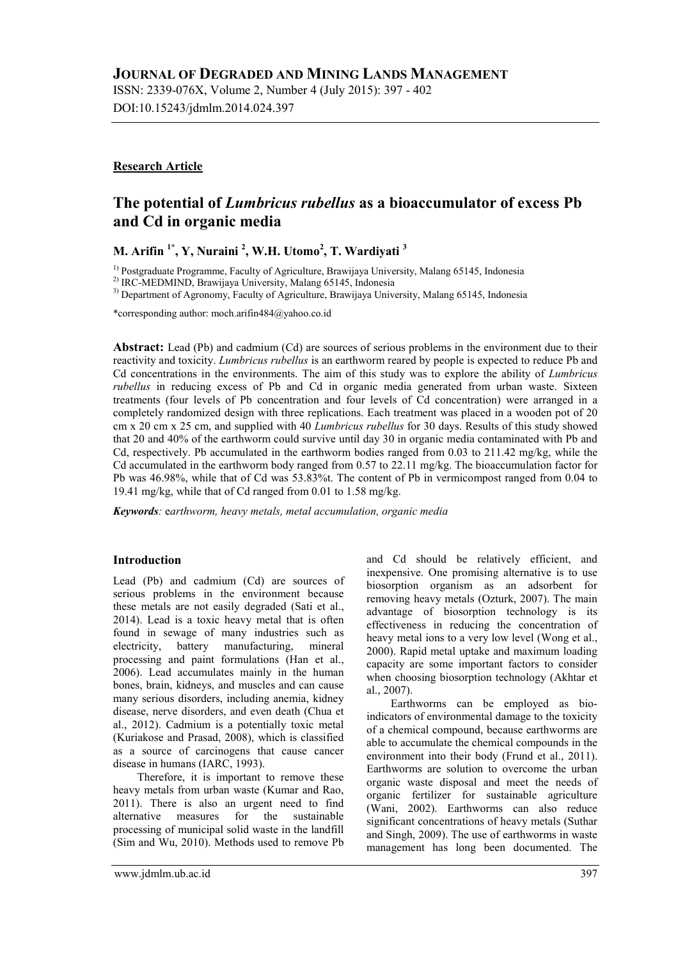ISSN: 2339-076X, Volume 2, Number 4 (July 2015): 397 - 402 DOI:10.15243/jdmlm.2014.024.397

### **Research Article**

# **The potential of** *Lumbricus rubellus* **as a bioaccumulator of excess Pb and Cd in organic media**

**M. Arifin 1\*, Y, Nuraini <sup>2</sup> , W.H. Utomo<sup>2</sup> , T. Wardiyati <sup>3</sup>**

 $<sup>1)</sup>$  Postgraduate Programme, Faculty of Agriculture, Brawijaya University, Malang 65145, Indonesia</sup>

2) IRC-MEDMIND, Brawijaya University, Malang 65145, Indonesia

3) Department of Agronomy, Faculty of Agriculture, Brawijaya University, Malang 65145, Indonesia

\*corresponding author: moch.arifin484@yahoo.co.id

**Abstract:** Lead (Pb) and cadmium (Cd) are sources of serious problems in the environment due to their reactivity and toxicity. *Lumbricus rubellus* is an earthworm reared by people is expected to reduce Pb and Cd concentrations in the environments. The aim of this study was to explore the ability of *Lumbricus rubellus* in reducing excess of Pb and Cd in organic media generated from urban waste. Sixteen treatments (four levels of Pb concentration and four levels of Cd concentration) were arranged in a completely randomized design with three replications. Each treatment was placed in a wooden pot of 20 cm x 20 cm x 25 cm, and supplied with 40 *Lumbricus rubellus* for 30 days. Results of this study showed that 20 and 40% of the earthworm could survive until day 30 in organic media contaminated with Pb and Cd, respectively. Pb accumulated in the earthworm bodies ranged from 0.03 to 211.42 mg/kg, while the Cd accumulated in the earthworm body ranged from 0.57 to 22.11 mg/kg. The bioaccumulation factor for Pb was 46.98%, while that of Cd was 53.83%t. The content of Pb in vermicompost ranged from 0.04 to 19.41 mg/kg, while that of Cd ranged from 0.01 to 1.58 mg/kg.

*Keywords:* e*arthworm, heavy metals, metal accumulation, organic media*

### **Introduction**

Lead (Pb) and cadmium (Cd) are sources of serious problems in the environment because these metals are not easily degraded (Sati et al., 2014). Lead is a toxic heavy metal that is often found in sewage of many industries such as<br>electricity. battery manufacturing, mineral battery manufacturing, mineral processing and paint formulations (Han et al., 2006). Lead accumulates mainly in the human bones, brain, kidneys, and muscles and can cause many serious disorders, including anemia, kidney disease, nerve disorders, and even death (Chua et al., 2012). Cadmium is a potentially toxic metal (Kuriakose and Prasad, 2008), which is classified as a source of carcinogens that cause cancer disease in humans (IARC, 1993).

Therefore, it is important to remove these heavy metals from urban waste (Kumar and Rao, 2011). There is also an urgent need to find alternative measures for the sustainable processing of municipal solid waste in the landfill (Sim and Wu, 2010). Methods used to remove Pb

and Cd should be relatively efficient, and inexpensive. One promising alternative is to use biosorption organism as an adsorbent for removing heavy metals (Ozturk, 2007). The main advantage of biosorption technology is its effectiveness in reducing the concentration of heavy metal ions to a very low level (Wong et al., 2000). Rapid metal uptake and maximum loading capacity are some important factors to consider when choosing biosorption technology (Akhtar et al., 2007).

Earthworms can be employed as bioindicators of environmental damage to the toxicity of a chemical compound, because earthworms are able to accumulate the chemical compounds in the environment into their body (Frund et al., 2011). Earthworms are solution to overcome the urban organic waste disposal and meet the needs of organic fertilizer for sustainable agriculture (Wani, 2002). Earthworms can also reduce significant concentrations of heavy metals (Suthar and Singh, 2009). The use of earthworms in waste management has long been documented. The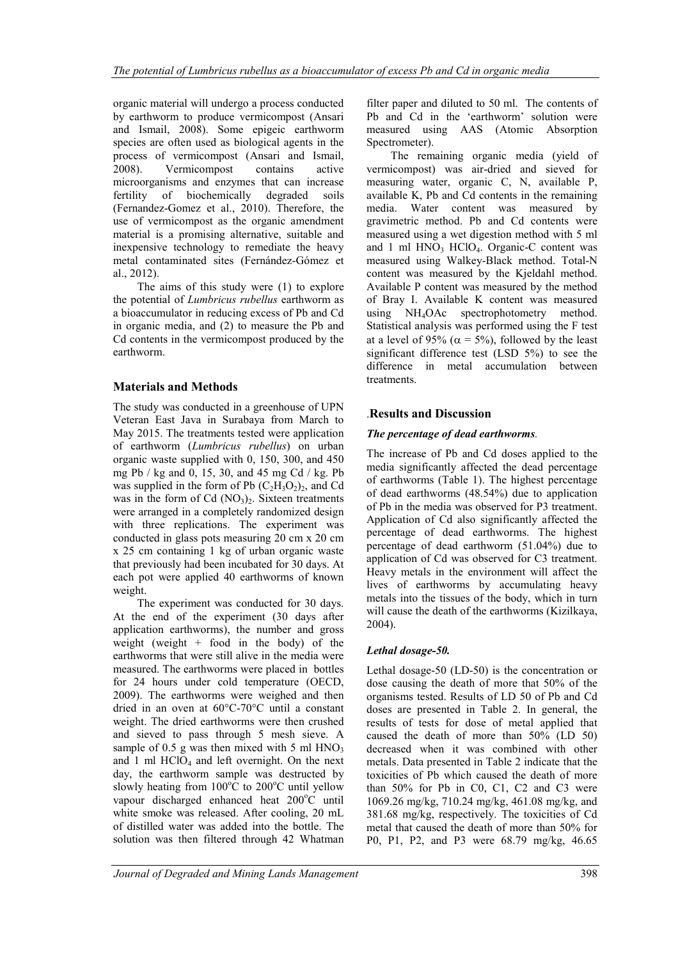organic material will undergo a process conducted by earthworm to produce vermicompost (Ansari and Ismail, 2008). Some epigeic earthworm species are often used as biological agents in the process of vermicompost (Ansari and Ismail, 2008). Vermicompost contains active microorganisms and enzymes that can increase fertility of biochemically degraded soils (Fernandez-Gomez et al., 2010). Therefore, the use of vermicompost as the organic amendment material is a promising alternative, suitable and inexpensive technology to remediate the heavy metal contaminated sites (Fernández-Gómez et al., 2012).

The aims of this study were (1) to explore the potential of *Lumbricus rubellus* earthworm as a bioaccumulator in reducing excess of Pb and Cd in organic media, and (2) to measure the Pb and Cd contents in the vermicompost produced by the earthworm.

## **Materials and Methods**

The study was conducted in a greenhouse of UPN Veteran East Java in Surabaya from March to May 2015. The treatments tested were application of earthworm (*Lumbricus rubellus*) on urban organic waste supplied with 0, 150, 300, and 450 mg Pb / kg and 0, 15, 30, and 45 mg Cd / kg. Pb was supplied in the form of Pb  $(C_2H_3O_2)_2$ , and Cd was in the form of Cd  $(NO<sub>3</sub>)<sub>2</sub>$ . Sixteen treatments were arranged in a completely randomized design with three replications. The experiment was conducted in glass pots measuring 20 cm x 20 cm x 25 cm containing 1 kg of urban organic waste that previously had been incubated for 30 days. At each pot were applied 40 earthworms of known weight.

The experiment was conducted for 30 days. At the end of the experiment (30 days after application earthworms), the number and gross weight (weight + food in the body) of the earthworms that were still alive in the media were measured. The earthworms were placed in bottles for 24 hours under cold temperature (OECD, 2009). The earthworms were weighed and then dried in an oven at 60°C-70°C until a constant weight. The dried earthworms were then crushed and sieved to pass through 5 mesh sieve. A sample of 0.5 g was then mixed with 5 ml  $HNO<sub>3</sub>$ and 1 ml  $HCIO<sub>4</sub>$  and left overnight. On the next day, the earthworm sample was destructed by slowly heating from  $100^{\circ}$ C to  $200^{\circ}$ C until yellow vapour discharged enhanced heat 200°C until white smoke was released. After cooling, 20 mL of distilled water was added into the bottle. The solution was then filtered through 42 Whatman

filter paper and diluted to 50 ml. The contents of Pb and Cd in the 'earthworm' solution were measured using AAS (Atomic Absorption Spectrometer).

The remaining organic media (yield of vermicompost) was air-dried and sieved for measuring water, organic C, N, available P, available K, Pb and Cd contents in the remaining media. Water content was measured by gravimetric method. Pb and Cd contents were measured using a wet digestion method with 5 ml and 1 ml  $HNO<sub>3</sub> HClO<sub>4</sub>$ . Organic-C content was measured using Walkey-Black method. Total-N content was measured by the Kjeldahl method. Available P content was measured by the method of Bray I. Available K content was measured using NH4OAc spectrophotometry method. Statistical analysis was performed using the F test at a level of 95% ( $\alpha = 5\%$ ), followed by the least significant difference test (LSD 5%) to see the difference in metal accumulation between treatments.

## .**Results and Discussion**

## *The percentage of dead earthworms.*

The increase of Pb and Cd doses applied to the media significantly affected the dead percentage of earthworms (Table 1). The highest percentage of dead earthworms (48.54%) due to application of Pb in the media was observed for P3 treatment. Application of Cd also significantly affected the percentage of dead earthworms. The highest percentage of dead earthworm (51.04%) due to application of Cd was observed for C3 treatment. Heavy metals in the environment will affect the lives of earthworms by accumulating heavy metals into the tissues of the body, which in turn will cause the death of the earthworms (Kizilkaya, 2004).

## *Lethal dosage-50.*

Lethal dosage-50 (LD-50) is the concentration or dose causing the death of more that 50% of the organisms tested. Results of LD 50 of Pb and Cd doses are presented in Table 2. In general, the results of tests for dose of metal applied that caused the death of more than 50% (LD 50) decreased when it was combined with other metals. Data presented in Table 2 indicate that the toxicities of Pb which caused the death of more than 50% for Pb in C0, C1, C2 and C3 were 1069.26 mg/kg, 710.24 mg/kg, 461.08 mg/kg, and 381.68 mg/kg, respectively. The toxicities of Cd metal that caused the death of more than 50% for P0, P1, P2, and P3 were 68.79 mg/kg, 46.65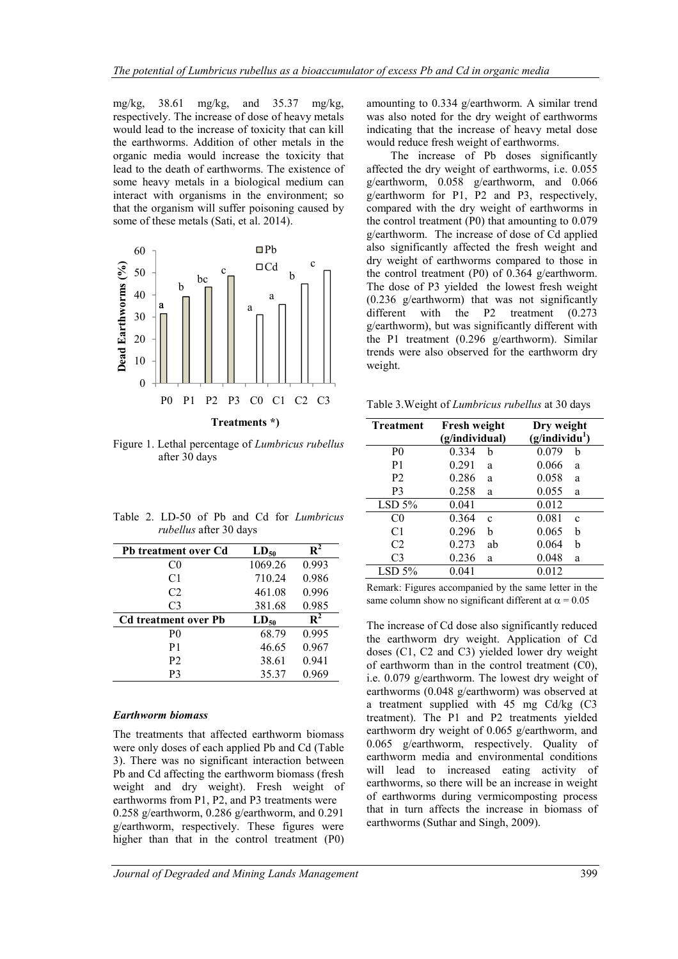mg/kg, 38.61 mg/kg, and 35.37 mg/kg, respectively. The increase of dose of heavy metals would lead to the increase of toxicity that can kill the earthworms. Addition of other metals in the organic media would increase the toxicity that lead to the death of earthworms. The existence of some heavy metals in a biological medium can interact with organisms in the environment; so that the organism will suffer poisoning caused by some of these metals (Sati, et al. 2014).



Figure 1. Lethal percentage of *Lumbricus rubellus* after 30 days

| <b>Pb treatment over Cd</b> | $LD_{50}$ | $\mathbf{R}^2$ |
|-----------------------------|-----------|----------------|
| C <sub>0</sub>              | 1069.26   | 0.993          |
| C <sub>1</sub>              | 710.24    | 0.986          |
| C <sub>2</sub>              | 461.08    | 0.996          |
| C <sub>3</sub>              | 381.68    | 0.985          |
| <b>Cd treatment over Pb</b> | $LD_{50}$ | $\mathbf{R}^2$ |
| P <sub>0</sub>              | 68.79     | 0.995          |
| P1                          | 46.65     | 0.967          |
| P <sub>2</sub>              | 38.61     | 0.941          |
| P3                          | 35.37     | 0.969          |

Table 2. LD-50 of Pb and Cd for *Lumbricus rubellus* after 30 days

### *Earthworm biomass*

The treatments that affected earthworm biomass were only doses of each applied Pb and Cd (Table 3). There was no significant interaction between Pb and Cd affecting the earthworm biomass (fresh weight and dry weight). Fresh weight of earthworms from P1, P2, and P3 treatments were 0.258 g/earthworm, 0.286 g/earthworm, and 0.291 g/earthworm, respectively. These figures were higher than that in the control treatment (P0)

The increase of Pb doses significantly affected the dry weight of earthworms, i.e. 0.055 g/earthworm, 0.058 g/earthworm, and 0.066 g/earthworm for P1, P2 and P3, respectively, compared with the dry weight of earthworms in the control treatment (P0) that amounting to 0.079 g/earthworm. The increase of dose of Cd applied also significantly affected the fresh weight and dry weight of earthworms compared to those in the control treatment (P0) of 0.364 g/earthworm. The dose of P3 yielded the lowest fresh weight (0.236 g/earthworm) that was not significantly different with the P2 treatment  $(0.273)$ g/earthworm), but was significantly different with the P1 treatment (0.296 g/earthworm). Similar trends were also observed for the earthworm dry weight.

Table 3.Weight of *Lumbricus rubellus* at 30 days

| <b>Treatment</b> | Fresh weight<br>(g/individual) |              | Dry weight<br>(g/individu <sup>1</sup> ) |              |  |
|------------------|--------------------------------|--------------|------------------------------------------|--------------|--|
| P <sub>0</sub>   | 0.334                          | h            | 0.079                                    | b            |  |
| P <sub>1</sub>   | 0.291                          | a            | 0.066                                    | a            |  |
| P <sub>2</sub>   | 0.286                          | a            | 0.058                                    | a            |  |
| P <sub>3</sub>   | 0.258                          | a            | 0.055                                    | a            |  |
| LSD 5%           | 0.041                          |              | 0.012                                    |              |  |
| C <sub>0</sub>   | 0.364                          | $\mathbf{c}$ | 0.081                                    | $\mathbf{c}$ |  |
| C <sub>1</sub>   | 0.296                          | h            | 0.065                                    | b            |  |
| C <sub>2</sub>   | 0.273                          | ab           | 0.064                                    | h            |  |
| C <sub>3</sub>   | 0.236                          | a            | 0.048                                    | a            |  |
| $LSD 5\%$        | 0.041                          |              | 0.012                                    |              |  |

Remark: Figures accompanied by the same letter in the same column show no significant different at  $\alpha = 0.05$ 

The increase of Cd dose also significantly reduced the earthworm dry weight. Application of Cd doses (C1, C2 and C3) yielded lower dry weight of earthworm than in the control treatment (C0), i.e. 0.079 g/earthworm. The lowest dry weight of earthworms (0.048 g/earthworm) was observed at a treatment supplied with 45 mg Cd/kg (C3 treatment). The P1 and P2 treatments yielded earthworm dry weight of 0.065 g/earthworm, and 0.065 g/earthworm, respectively. Quality of earthworm media and environmental conditions will lead to increased eating activity of earthworms, so there will be an increase in weight of earthworms during vermicomposting process that in turn affects the increase in biomass of earthworms (Suthar and Singh, 2009).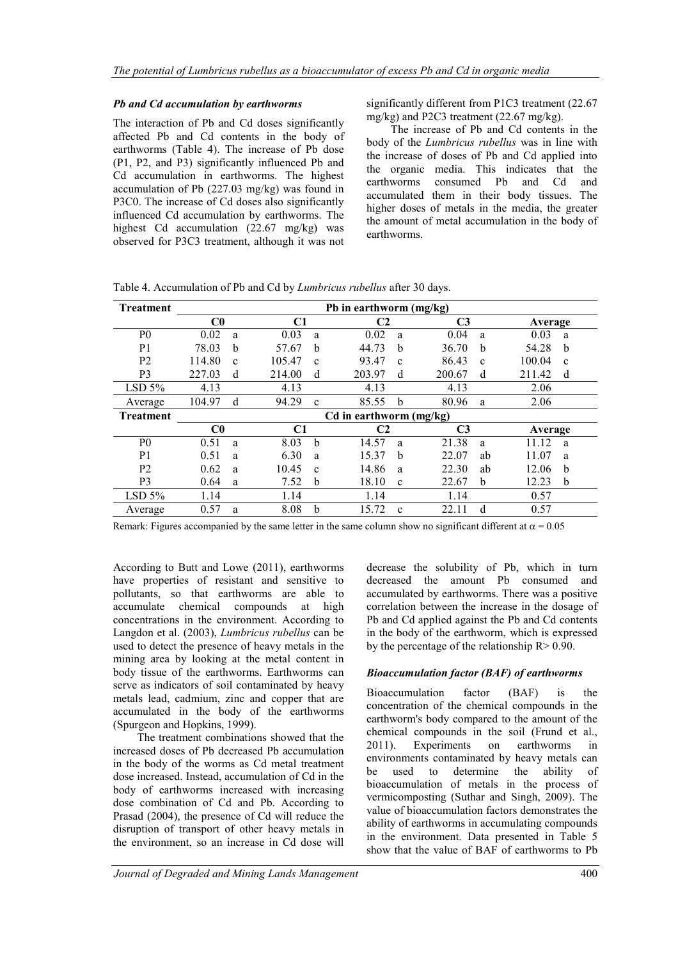#### *Pb and Cd accumulation by earthworms*

The interaction of Pb and Cd doses significantly affected Pb and Cd contents in the body of earthworms (Table 4). The increase of Pb dose (P1, P2, and P3) significantly influenced Pb and Cd accumulation in earthworms. The highest accumulation of Pb (227.03 mg/kg) was found in P3C0. The increase of Cd doses also significantly influenced Cd accumulation by earthworms. The highest Cd accumulation (22.67 mg/kg) was observed for P3C3 treatment, although it was not significantly different from P1C3 treatment (22.67 mg/kg) and P2C3 treatment (22.67 mg/kg).

The increase of Pb and Cd contents in the body of the *Lumbricus rubellus* was in line with the increase of doses of Pb and Cd applied into the organic media. This indicates that the earthworms consumed Pb and Cd and accumulated them in their body tissues. The higher doses of metals in the media, the greater the amount of metal accumulation in the body of earthworms.

| <b>Treatment</b> | Pb in earthworm (mg/kg) |              |        |              |        |                |        |              |         |              |  |
|------------------|-------------------------|--------------|--------|--------------|--------|----------------|--------|--------------|---------|--------------|--|
|                  | $_{\rm C0}$             |              | C1     |              |        | C2             | C3     |              |         | Average      |  |
| P <sub>0</sub>   | 0.02                    | a            | 0.03   | a            | 0.02   | a              | 0.04   | a            | 0.03    | a            |  |
| P <sub>1</sub>   | 78.03                   | h            | 57.67  | b            | 44.73  | b              | 36.70  | b            | 54.28   | b            |  |
| P <sub>2</sub>   | 114.80                  | $\mathbf{c}$ | 105.47 | $\mathbf{c}$ | 93.47  | $\mathbf{c}$   | 86.43  | $\mathbf{c}$ | 100.04  | $\mathbf{c}$ |  |
| P <sub>3</sub>   | 227.03                  | d            | 214.00 | d            | 203.97 | d              | 200.67 | d            | 211.42  | d            |  |
| LSD 5%           | 4.13                    |              | 4.13   |              | 4.13   |                | 4.13   |              | 2.06    |              |  |
| Average          | 104.97                  | d            | 94.29  | $\mathbf{c}$ | 85.55  | b              | 80.96  | a            | 2.06    |              |  |
| <b>Treatment</b> | Cd in earthworm (mg/kg) |              |        |              |        |                |        |              |         |              |  |
|                  | $_{\rm C0}$<br>C1       |              |        | C2           |        | C <sub>3</sub> |        |              | Average |              |  |
| P <sub>0</sub>   | 0.51                    | a            | 8.03   | b            | 14.57  | a              | 21.38  | a            | 11.12   | a            |  |
| P <sub>1</sub>   | 0.51                    | a            | 6.30   | a            | 15.37  | b              | 22.07  | ab           | 11.07   | a            |  |
| P <sub>2</sub>   | 0.62                    | a            | 10.45  | $\mathbf{c}$ | 14.86  | a              | 22.30  | ab           | 12.06   | b            |  |
| P <sub>3</sub>   | 0.64                    | a            | 7.52   | b            | 18.10  | $\mathbf{c}$   | 22.67  | b            | 12.23   | b            |  |
| LSD 5%           | 1.14                    |              | 1.14   |              | 1.14   |                | 1.14   |              | 0.57    |              |  |
| Average          | 0.57                    | a            | 8.08   | b            | 15.72  | $\mathbf{c}$   | 22.11  | d            | 0.57    |              |  |

Table 4. Accumulation of Pb and Cd by *Lumbricus rubellus* after 30 days.

Remark: Figures accompanied by the same letter in the same column show no significant different at  $\alpha = 0.05$ 

According to Butt and Lowe (2011), earthworms have properties of resistant and sensitive to pollutants, so that earthworms are able to accumulate chemical compounds at high concentrations in the environment. According to Langdon et al. (2003), *Lumbricus rubellus* can be used to detect the presence of heavy metals in the mining area by looking at the metal content in body tissue of the earthworms. Earthworms can serve as indicators of soil contaminated by heavy metals lead, cadmium, zinc and copper that are accumulated in the body of the earthworms (Spurgeon and Hopkins, 1999).

The treatment combinations showed that the increased doses of Pb decreased Pb accumulation in the body of the worms as Cd metal treatment dose increased. Instead, accumulation of Cd in the body of earthworms increased with increasing dose combination of Cd and Pb. According to Prasad (2004), the presence of Cd will reduce the disruption of transport of other heavy metals in the environment, so an increase in Cd dose will

decrease the solubility of Pb, which in turn decreased the amount Pb consumed and accumulated by earthworms. There was a positive correlation between the increase in the dosage of Pb and Cd applied against the Pb and Cd contents in the body of the earthworm, which is expressed by the percentage of the relationship  $R > 0.90$ .

### *Bioaccumulation factor (BAF) of earthworms*

Bioaccumulation factor (BAF) is the concentration of the chemical compounds in the earthworm's body compared to the amount of the chemical compounds in the soil (Frund et al., 2011). Experiments on earthworms in environments contaminated by heavy metals can be used to determine the ability of bioaccumulation of metals in the process of vermicomposting (Suthar and Singh, 2009). The value of bioaccumulation factors demonstrates the ability of earthworms in accumulating compounds in the environment. Data presented in Table 5 show that the value of BAF of earthworms to Pb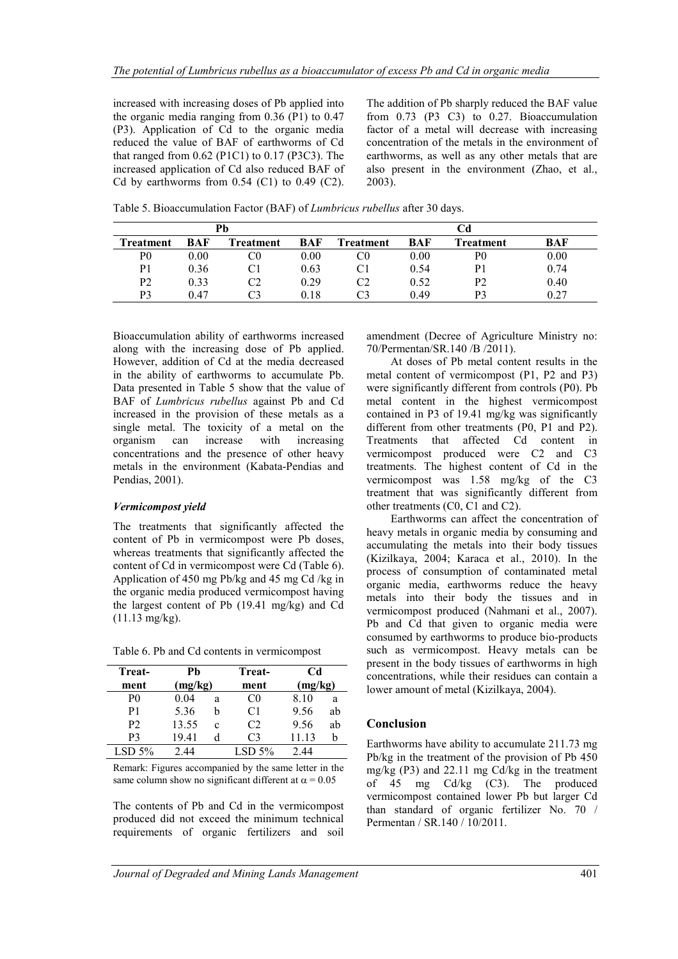increased with increasing doses of Pb applied into the organic media ranging from 0.36 (P1) to 0.47 (P3). Application of Cd to the organic media reduced the value of BAF of earthworms of Cd that ranged from 0.62 (P1C1) to 0.17 (P3C3). The increased application of Cd also reduced BAF of Cd by earthworms from  $0.54$  (C1) to  $0.49$  (C2).

The addition of Pb sharply reduced the BAF value from 0.73 (P3 C3) to 0.27. Bioaccumulation factor of a metal will decrease with increasing concentration of the metals in the environment of earthworms, as well as any other metals that are also present in the environment (Zhao, et al., 2003).

| Pb             |      |                  |      |                  |      | Cd             |      |
|----------------|------|------------------|------|------------------|------|----------------|------|
| Treatment      | BAF  | <b>Treatment</b> | BAF  | <b>Treatment</b> | BAF  | Treatment      | BAF  |
| P0             | 0.00 | C0               | 0.00 |                  | 0.00 | P0             | 0.00 |
| P1             | 0.36 |                  | 0.63 |                  | 0.54 | P1             | 0.74 |
| P <sub>2</sub> | 0.33 | C2               | 0.29 | C2               | 0.52 | P <sub>2</sub> | 0.40 |
| P3             | 0.47 |                  | 0.18 |                  | 0.49 | P3             | 0.27 |

Table 5. Bioaccumulation Factor (BAF) of *Lumbricus rubellus* after 30 days.

Bioaccumulation ability of earthworms increased along with the increasing dose of Pb applied. However, addition of Cd at the media decreased in the ability of earthworms to accumulate Pb. Data presented in Table 5 show that the value of BAF of *Lumbricus rubellus* against Pb and Cd increased in the provision of these metals as a single metal. The toxicity of a metal on the organism can increase with increasing concentrations and the presence of other heavy metals in the environment (Kabata-Pendias and Pendias, 2001).

#### *Vermicompost yield*

The treatments that significantly affected the content of Pb in vermicompost were Pb doses, whereas treatments that significantly affected the content of Cd in vermicompost were Cd (Table 6). Application of 450 mg Pb/kg and 45 mg Cd /kg in the organic media produced vermicompost having the largest content of Pb (19.41 mg/kg) and Cd (11.13 mg/kg).

Table 6. Pb and Cd contents in vermicompost

| Treat-<br>ment | Ph<br>(mg/kg) |              | Treat-<br>ment |       | <b>Cd</b><br>(mg/kg) |  |  |
|----------------|---------------|--------------|----------------|-------|----------------------|--|--|
| P <sub>0</sub> | 0.04          | a            | CO.            | 8.10  | a                    |  |  |
| P1             | 5.36          | h            | C1             | 9.56  | ab                   |  |  |
| P <sub>2</sub> | 13.55         | $\mathbf{c}$ | C <sub>2</sub> | 9.56  | ab                   |  |  |
| P3             | 19.41         |              | C3             | 11.13 |                      |  |  |
| LSD 5%         | 2.44          |              | LSD 5%         |       |                      |  |  |

Remark: Figures accompanied by the same letter in the same column show no significant different at  $\alpha = 0.05$ 

The contents of Pb and Cd in the vermicompost produced did not exceed the minimum technical requirements of organic fertilizers and soil

amendment (Decree of Agriculture Ministry no: 70/Permentan/SR.140 /B /2011).

At doses of Pb metal content results in the metal content of vermicompost (P1, P2 and P3) were significantly different from controls (P0). Pb metal content in the highest vermicompost contained in P3 of 19.41 mg/kg was significantly different from other treatments (P0, P1 and P2). Treatments that affected Cd content in vermicompost produced were C2 and C3 treatments. The highest content of Cd in the vermicompost was 1.58 mg/kg of the C3 treatment that was significantly different from other treatments (C0, C1 and C2).

Earthworms can affect the concentration of heavy metals in organic media by consuming and accumulating the metals into their body tissues (Kizilkaya, 2004; Karaca et al., 2010). In the process of consumption of contaminated metal organic media, earthworms reduce the heavy metals into their body the tissues and in vermicompost produced (Nahmani et al., 2007). Pb and Cd that given to organic media were consumed by earthworms to produce bio-products such as vermicompost. Heavy metals can be present in the body tissues of earthworms in high concentrations, while their residues can contain a lower amount of metal (Kizilkaya, 2004).

### **Conclusion**

Earthworms have ability to accumulate 211.73 mg Pb/kg in the treatment of the provision of Pb 450 mg/kg (P3) and 22.11 mg Cd/kg in the treatment of 45 mg Cd/kg (C3). The produced vermicompost contained lower Pb but larger Cd than standard of organic fertilizer No. 70 / Permentan / SR.140 / 10/2011.